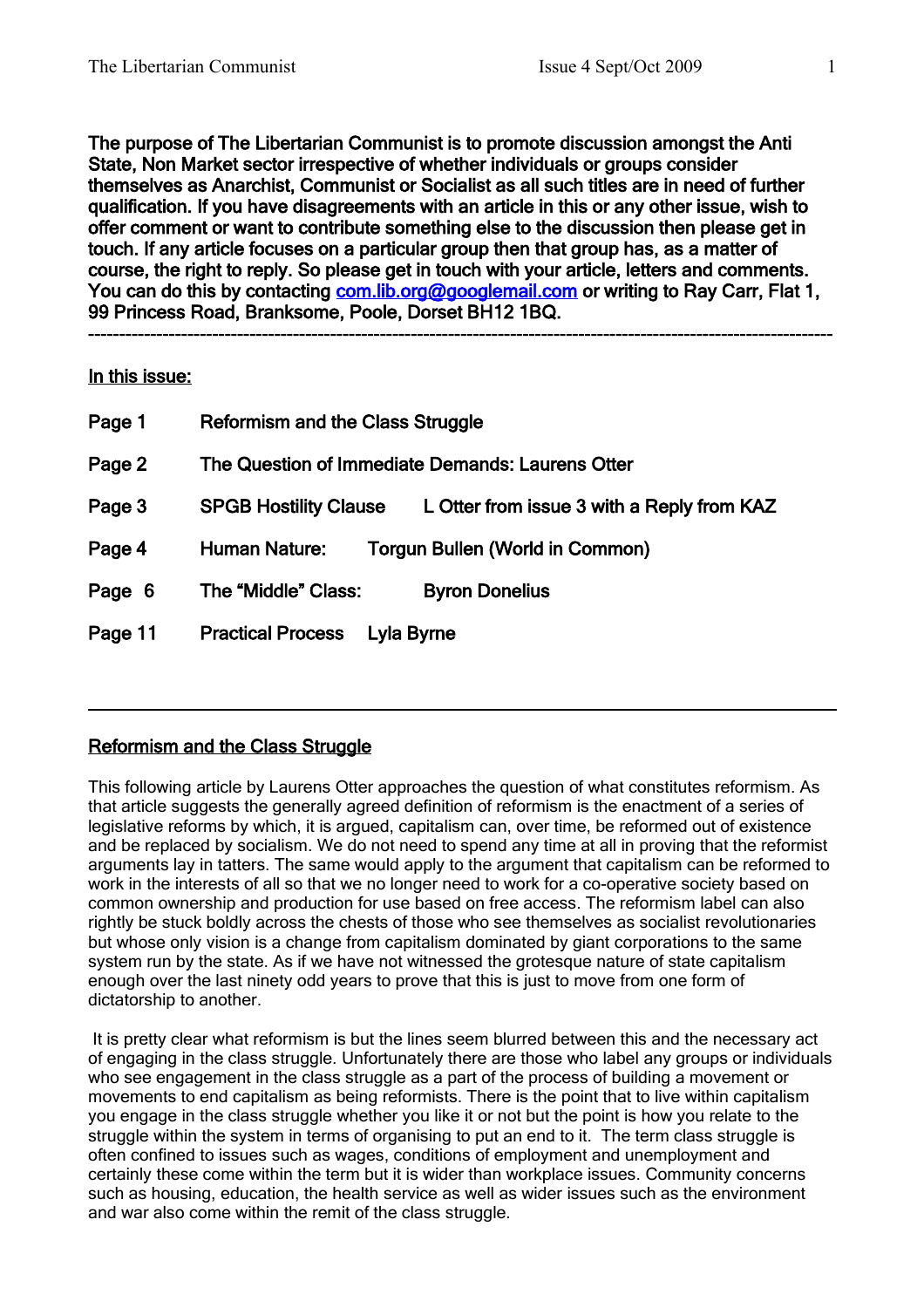The purpose of The Libertarian Communist is to promote discussion amongst the Anti State, Non Market sector irrespective of whether individuals or groups consider themselves as Anarchist, Communist or Socialist as all such titles are in need of further qualification. If you have disagreements with an article in this or any other issue, wish to offer comment or want to contribute something else to the discussion then please get in touch. If any article focuses on a particular group then that group has, as a matter of course, the right to reply. So please get in touch with your article, letters and comments. You can do this by contacting [com.lib.org@googlemail.com](mailto:com.lib.org@googlemail.com) or writing to Ray Carr, Flat 1, 99 Princess Road, Branksome, Poole, Dorset BH12 1BQ.

**------------------------------------------------------------------------------------------------------------------------**

### In this issue:

| Page 1  | <b>Reformism and the Class Struggle</b>                                    |  |
|---------|----------------------------------------------------------------------------|--|
| Page 2  | The Question of Immediate Demands: Laurens Otter                           |  |
| Page 3  | L Otter from issue 3 with a Reply from KAZ<br><b>SPGB Hostility Clause</b> |  |
| Page 4  | <b>Human Nature:</b><br><b>Torgun Bullen (World in Common)</b>             |  |
| Page 6  | The "Middle" Class:<br><b>Byron Donelius</b>                               |  |
| Page 11 | <b>Practical Process</b><br>Lyla Byrne                                     |  |

# Reformism and the Class Struggle

This following article by Laurens Otter approaches the question of what constitutes reformism. As that article suggests the generally agreed definition of reformism is the enactment of a series of legislative reforms by which, it is argued, capitalism can, over time, be reformed out of existence and be replaced by socialism. We do not need to spend any time at all in proving that the reformist arguments lay in tatters. The same would apply to the argument that capitalism can be reformed to work in the interests of all so that we no longer need to work for a co-operative society based on common ownership and production for use based on free access. The reformism label can also rightly be stuck boldly across the chests of those who see themselves as socialist revolutionaries but whose only vision is a change from capitalism dominated by giant corporations to the same system run by the state. As if we have not witnessed the grotesque nature of state capitalism enough over the last ninety odd years to prove that this is just to move from one form of dictatorship to another.

 It is pretty clear what reformism is but the lines seem blurred between this and the necessary act of engaging in the class struggle. Unfortunately there are those who label any groups or individuals who see engagement in the class struggle as a part of the process of building a movement or movements to end capitalism as being reformists. There is the point that to live within capitalism you engage in the class struggle whether you like it or not but the point is how you relate to the struggle within the system in terms of organising to put an end to it. The term class struggle is often confined to issues such as wages, conditions of employment and unemployment and certainly these come within the term but it is wider than workplace issues. Community concerns such as housing, education, the health service as well as wider issues such as the environment and war also come within the remit of the class struggle.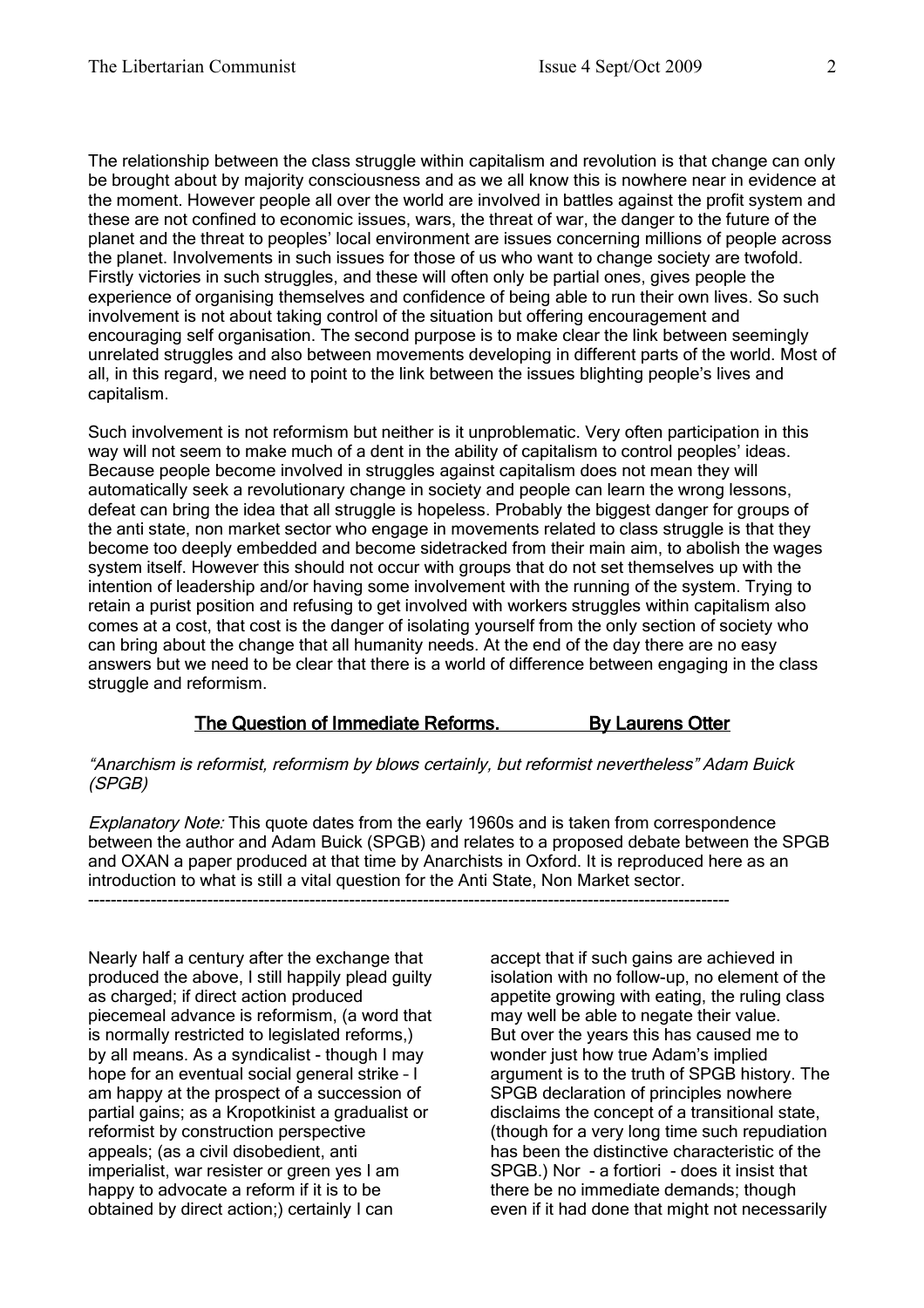The relationship between the class struggle within capitalism and revolution is that change can only be brought about by majority consciousness and as we all know this is nowhere near in evidence at the moment. However people all over the world are involved in battles against the profit system and these are not confined to economic issues, wars, the threat of war, the danger to the future of the planet and the threat to peoples' local environment are issues concerning millions of people across the planet. Involvements in such issues for those of us who want to change society are twofold. Firstly victories in such struggles, and these will often only be partial ones, gives people the experience of organising themselves and confidence of being able to run their own lives. So such involvement is not about taking control of the situation but offering encouragement and encouraging self organisation. The second purpose is to make clear the link between seemingly unrelated struggles and also between movements developing in different parts of the world. Most of all, in this regard, we need to point to the link between the issues blighting people's lives and capitalism.

Such involvement is not reformism but neither is it unproblematic. Very often participation in this way will not seem to make much of a dent in the ability of capitalism to control peoples' ideas. Because people become involved in struggles against capitalism does not mean they will automatically seek a revolutionary change in society and people can learn the wrong lessons, defeat can bring the idea that all struggle is hopeless. Probably the biggest danger for groups of the anti state, non market sector who engage in movements related to class struggle is that they become too deeply embedded and become sidetracked from their main aim, to abolish the wages system itself. However this should not occur with groups that do not set themselves up with the intention of leadership and/or having some involvement with the running of the system. Trying to retain a purist position and refusing to get involved with workers struggles within capitalism also comes at a cost, that cost is the danger of isolating yourself from the only section of society who can bring about the change that all humanity needs. At the end of the day there are no easy answers but we need to be clear that there is a world of difference between engaging in the class struggle and reformism.

# The Question of Immediate Reforms. By Laurens Otter

#### "Anarchism is reformist, reformism by blows certainly, but reformist nevertheless" Adam Buick (SPGB)

Explanatory Note: This quote dates from the early 1960s and is taken from correspondence between the author and Adam Buick (SPGB) and relates to a proposed debate between the SPGB and OXAN a paper produced at that time by Anarchists in Oxford. It is reproduced here as an introduction to what is still a vital question for the Anti State, Non Market sector.

-----------------------------------------------------------------------------------------------------------------

Nearly half a century after the exchange that produced the above, I still happily plead guilty as charged; if direct action produced piecemeal advance is reformism, (a word that is normally restricted to legislated reforms,) by all means. As a syndicalist - though I may hope for an eventual social general strike – I am happy at the prospect of a succession of partial gains; as a Kropotkinist a gradualist or reformist by construction perspective appeals; (as a civil disobedient, anti imperialist, war resister or green yes I am happy to advocate a reform if it is to be obtained by direct action;) certainly I can

accept that if such gains are achieved in isolation with no follow-up, no element of the appetite growing with eating, the ruling class may well be able to negate their value. But over the years this has caused me to wonder just how true Adam's implied argument is to the truth of SPGB history. The SPGB declaration of principles nowhere disclaims the concept of a transitional state, (though for a very long time such repudiation has been the distinctive characteristic of the SPGB.) Nor - a fortiori - does it insist that there be no immediate demands; though even if it had done that might not necessarily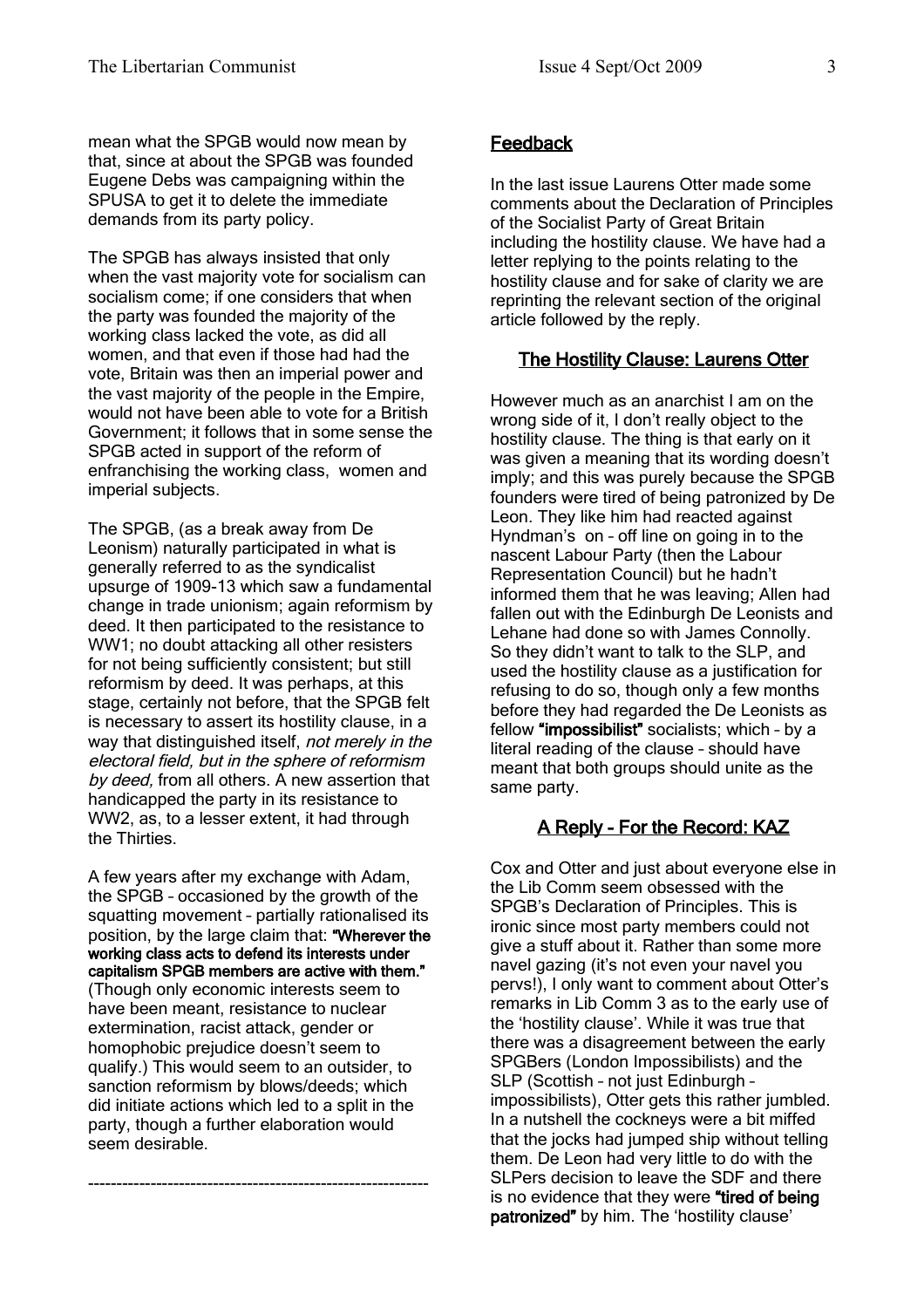mean what the SPGB would now mean by that, since at about the SPGB was founded Eugene Debs was campaigning within the SPUSA to get it to delete the immediate demands from its party policy.

The SPGB has always insisted that only when the vast majority vote for socialism can socialism come; if one considers that when the party was founded the majority of the working class lacked the vote, as did all women, and that even if those had had the vote, Britain was then an imperial power and the vast majority of the people in the Empire, would not have been able to vote for a British Government; it follows that in some sense the SPGB acted in support of the reform of enfranchising the working class, women and imperial subjects.

The SPGB, (as a break away from De Leonism) naturally participated in what is generally referred to as the syndicalist upsurge of 1909-13 which saw a fundamental change in trade unionism; again reformism by deed. It then participated to the resistance to WW1; no doubt attacking all other resisters for not being sufficiently consistent; but still reformism by deed. It was perhaps, at this stage, certainly not before, that the SPGB felt is necessary to assert its hostility clause, in a way that distinguished itself, not merely in the electoral field, but in the sphere of reformism by deed, from all others. A new assertion that handicapped the party in its resistance to WW2, as, to a lesser extent, it had through the Thirties.

A few years after my exchange with Adam, the SPGB – occasioned by the growth of the squatting movement – partially rationalised its position, by the large claim that: "Wherever the working class acts to defend its interests under capitalism SPGB members are active with them." (Though only economic interests seem to have been meant, resistance to nuclear extermination, racist attack, gender or homophobic prejudice doesn't seem to qualify.) This would seem to an outsider, to sanction reformism by blows/deeds; which did initiate actions which led to a split in the party, though a further elaboration would seem desirable.

------------------------------------------------------------

### **Feedback**

In the last issue Laurens Otter made some comments about the Declaration of Principles of the Socialist Party of Great Britain including the hostility clause. We have had a letter replying to the points relating to the hostility clause and for sake of clarity we are reprinting the relevant section of the original article followed by the reply.

### The Hostility Clause: Laurens Otter

However much as an anarchist I am on the wrong side of it, I don't really object to the hostility clause. The thing is that early on it was given a meaning that its wording doesn't imply; and this was purely because the SPGB founders were tired of being patronized by De Leon. They like him had reacted against Hyndman's on – off line on going in to the nascent Labour Party (then the Labour Representation Council) but he hadn't informed them that he was leaving; Allen had fallen out with the Edinburgh De Leonists and Lehane had done so with James Connolly. So they didn't want to talk to the SLP, and used the hostility clause as a justification for refusing to do so, though only a few months before they had regarded the De Leonists as fellow "impossibilist" socialists; which – by a literal reading of the clause – should have meant that both groups should unite as the same party.

# A Reply - For the Record: KAZ

Cox and Otter and just about everyone else in the Lib Comm seem obsessed with the SPGB's Declaration of Principles. This is ironic since most party members could not give a stuff about it. Rather than some more navel gazing (it's not even your navel you pervs!), I only want to comment about Otter's remarks in Lib Comm 3 as to the early use of the 'hostility clause'. While it was true that there was a disagreement between the early SPGBers (London Impossibilists) and the SLP (Scottish – not just Edinburgh – impossibilists), Otter gets this rather jumbled. In a nutshell the cockneys were a bit miffed that the jocks had jumped ship without telling them. De Leon had very little to do with the SLPers decision to leave the SDF and there is no evidence that they were "tired of being patronized" by him. The 'hostility clause'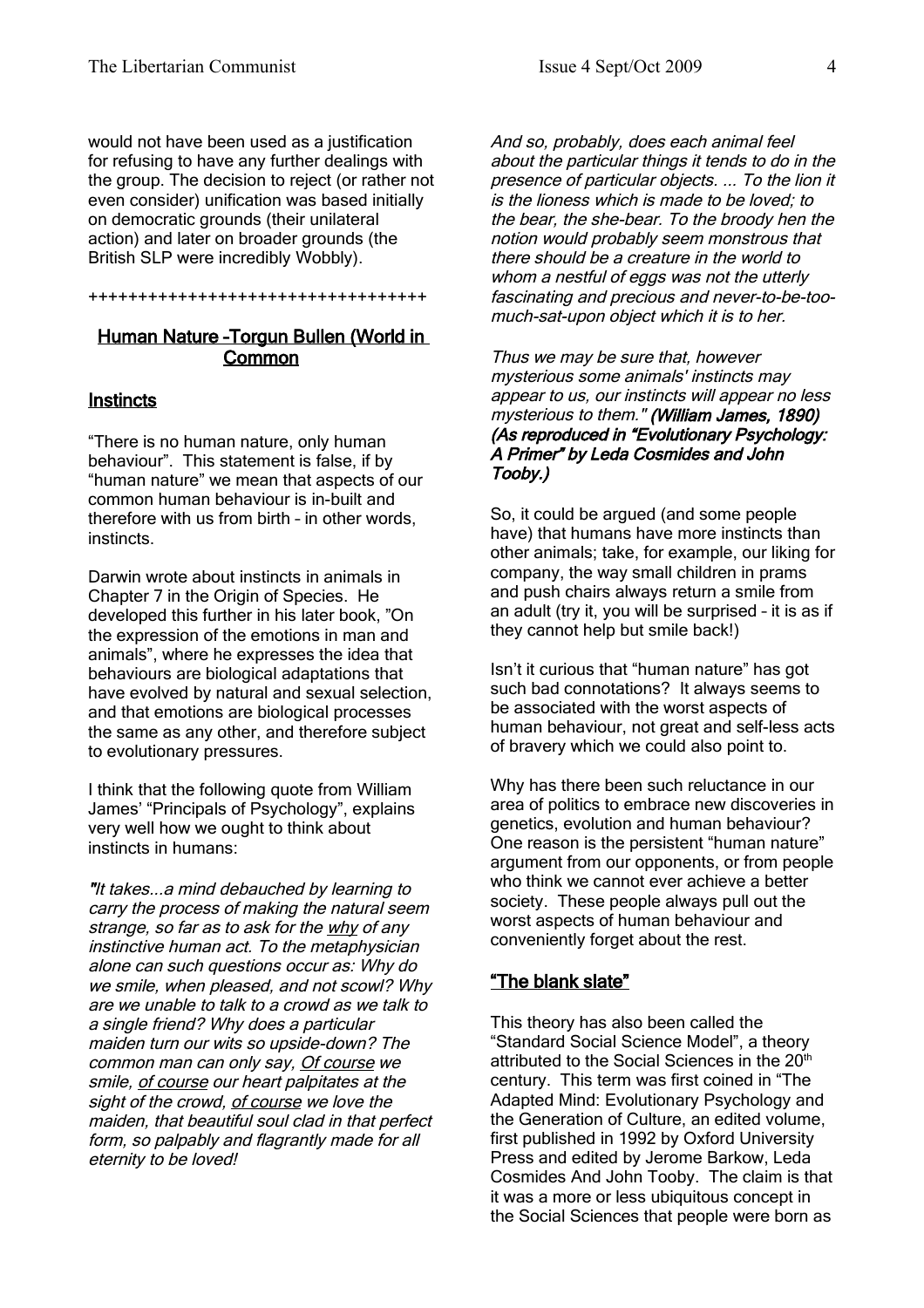would not have been used as a justification for refusing to have any further dealings with the group. The decision to reject (or rather not even consider) unification was based initially on democratic grounds (their unilateral action) and later on broader grounds (the British SLP were incredibly Wobbly).

++++++++++++++++++++++++++++++++++

### Human Nature –Torgun Bullen (World in Common

### **Instincts**

"There is no human nature, only human behaviour". This statement is false, if by "human nature" we mean that aspects of our common human behaviour is in-built and therefore with us from birth – in other words, instincts.

Darwin wrote about instincts in animals in Chapter 7 in the Origin of Species. He developed this further in his later book, "On the expression of the emotions in man and animals", where he expresses the idea that behaviours are biological adaptations that have evolved by natural and sexual selection, and that emotions are biological processes the same as any other, and therefore subject to evolutionary pressures.

I think that the following quote from William James' "Principals of Psychology", explains very well how we ought to think about instincts in humans:

"It takes...a mind debauched by learning to carry the process of making the natural seem strange, so far as to ask for the why of any instinctive human act. To the metaphysician alone can such questions occur as: Why do we smile, when pleased, and not scowl? Why are we unable to talk to a crowd as we talk to a single friend? Why does a particular maiden turn our wits so upside-down? The common man can only say, Of course we smile, of course our heart palpitates at the sight of the crowd, of course we love the maiden, that beautiful soul clad in that perfect form, so palpably and flagrantly made for all eternity to be loved!

And so, probably, does each animal feel about the particular things it tends to do in the presence of particular objects. ... To the lion it is the lioness which is made to be loved; to the bear, the she-bear. To the broody hen the notion would probably seem monstrous that there should be a creature in the world to whom a nestful of eggs was not the utterly fascinating and precious and never-to-be-toomuch-sat-upon object which it is to her.

Thus we may be sure that, however mysterious some animals' instincts may appear to us, our instincts will appear no less mysterious to them." (William James, 1890) (As reproduced in "Evolutionary Psychology: A Primer" by Leda Cosmides and John Tooby.)

So, it could be argued (and some people have) that humans have more instincts than other animals; take, for example, our liking for company, the way small children in prams and push chairs always return a smile from an adult (try it, you will be surprised – it is as if they cannot help but smile back!)

Isn't it curious that "human nature" has got such bad connotations? It always seems to be associated with the worst aspects of human behaviour, not great and self-less acts of bravery which we could also point to.

Why has there been such reluctance in our area of politics to embrace new discoveries in genetics, evolution and human behaviour? One reason is the persistent "human nature" argument from our opponents, or from people who think we cannot ever achieve a better society. These people always pull out the worst aspects of human behaviour and conveniently forget about the rest.

# "The blank slate"

This theory has also been called the "Standard Social Science Model", a theory attributed to the Social Sciences in the 20<sup>th</sup> century. This term was first coined in "The Adapted Mind: Evolutionary Psychology and the Generation of Culture, an edited volume, first published in 1992 by Oxford University Press and edited by Jerome Barkow, Leda Cosmides And John Tooby. The claim is that it was a more or less ubiquitous concept in the Social Sciences that people were born as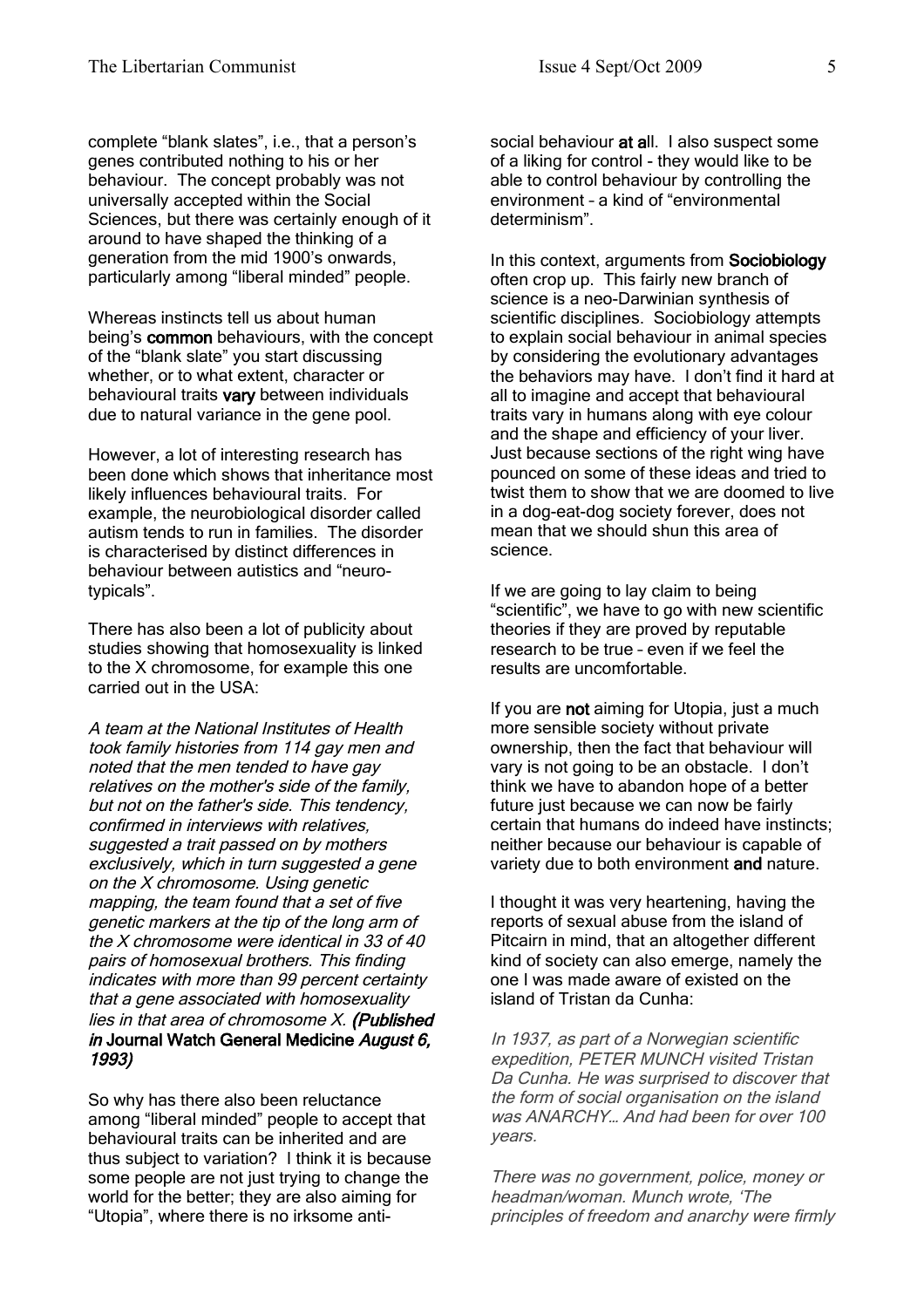complete "blank slates", i.e., that a person's genes contributed nothing to his or her behaviour. The concept probably was not universally accepted within the Social Sciences, but there was certainly enough of it around to have shaped the thinking of a generation from the mid 1900's onwards, particularly among "liberal minded" people.

Whereas instincts tell us about human being's common behaviours, with the concept of the "blank slate" you start discussing whether, or to what extent, character or behavioural traits vary between individuals due to natural variance in the gene pool.

However, a lot of interesting research has been done which shows that inheritance most likely influences behavioural traits. For example, the neurobiological disorder called autism tends to run in families. The disorder is characterised by distinct differences in behaviour between autistics and "neurotypicals".

There has also been a lot of publicity about studies showing that homosexuality is linked to the X chromosome, for example this one carried out in the USA:

A team at the National Institutes of Health took family histories from 114 gay men and noted that the men tended to have gay relatives on the mother's side of the family, but not on the father's side. This tendency, confirmed in interviews with relatives, suggested a trait passed on by mothers exclusively, which in turn suggested a gene on the X chromosome. Using genetic mapping, the team found that a set of five genetic markers at the tip of the long arm of the X chromosome were identical in 33 of 40 pairs of homosexual brothers. This finding indicates with more than 99 percent certainty that a gene associated with homosexuality lies in that area of chromosome X. (Published in Journal Watch General Medicine August 6, 1993)

So why has there also been reluctance among "liberal minded" people to accept that behavioural traits can be inherited and are thus subject to variation? I think it is because some people are not just trying to change the world for the better; they are also aiming for "Utopia", where there is no irksome antisocial behaviour at all. I also suspect some of a liking for control - they would like to be able to control behaviour by controlling the environment – a kind of "environmental determinism".

In this context, arguments from Sociobiology often crop up. This fairly new branch of science is a neo-Darwinian synthesis of scientific disciplines. Sociobiology attempts to explain social behaviour in animal species by considering the evolutionary advantages the behaviors may have. I don't find it hard at all to imagine and accept that behavioural traits vary in humans along with eye colour and the shape and efficiency of your liver. Just because sections of the right wing have pounced on some of these ideas and tried to twist them to show that we are doomed to live in a dog-eat-dog society forever, does not mean that we should shun this area of science.

If we are going to lay claim to being "scientific", we have to go with new scientific theories if they are proved by reputable research to be true – even if we feel the results are uncomfortable.

If you are not aiming for Utopia, just a much more sensible society without private ownership, then the fact that behaviour will vary is not going to be an obstacle. I don't think we have to abandon hope of a better future just because we can now be fairly certain that humans do indeed have instincts; neither because our behaviour is capable of variety due to both environment and nature.

I thought it was very heartening, having the reports of sexual abuse from the island of Pitcairn in mind, that an altogether different kind of society can also emerge, namely the one I was made aware of existed on the island of Tristan da Cunha:

In 1937, as part of a Norwegian scientific expedition, PETER MUNCH visited Tristan Da Cunha. He was surprised to discover that the form of social organisation on the island was ANARCHY And had been for over 100 years.

There was no government, police, money or headman/woman. Munch wrote, 'The principles of freedom and anarchy were firmly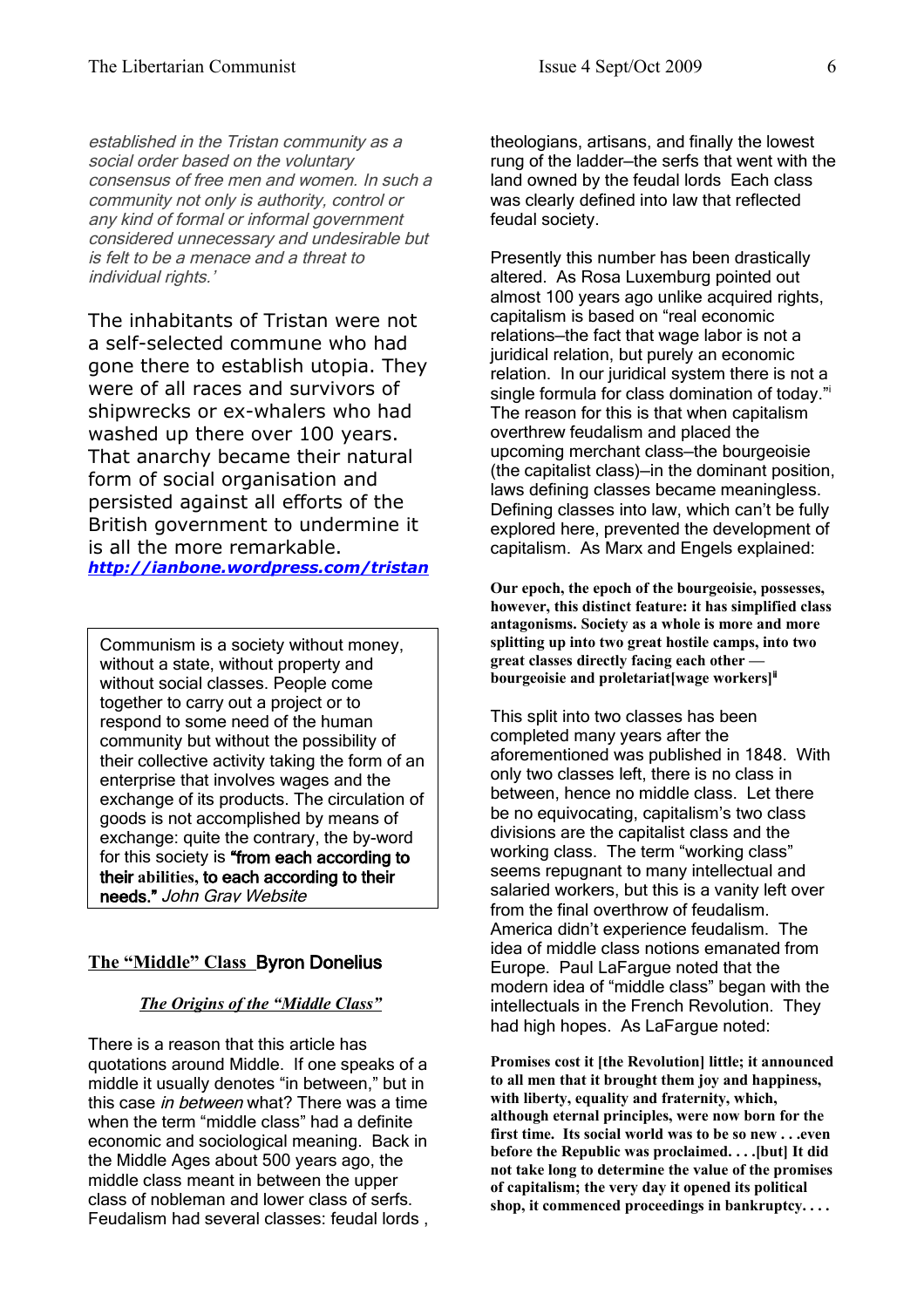established in the Tristan community as a social order based on the voluntary consensus of free men and women. In such a community not only is authority, control or any kind of formal or informal government considered unnecessary and undesirable but is felt to be a menace and a threat to individual rights.'

The inhabitants of Tristan were not a self-selected commune who had gone there to establish utopia. They were of all races and survivors of shipwrecks or ex-whalers who had washed up there over 100 years. That anarchy became their natural form of social organisation and persisted against all efforts of the British government to undermine it is all the more remarkable. *<http://ianbone.wordpress.com/tristan>*

Communism is a society without money, without a state, without property and without social classes. People come together to carry out a project or to respond to some need of the human community but without the possibility of their collective activity taking the form of an enterprise that involves wages and the exchange of its products. The circulation of goods is not accomplished by means of exchange: quite the contrary, the by-word for this society is "from each according to their **abilities,** to each according to their needs." John Gray Website

#### **The "Middle" Class** Byron Donelius

#### *The Origins of the "Middle Class"*

There is a reason that this article has quotations around Middle. If one speaks of a middle it usually denotes "in between," but in this case *in between* what? There was a time when the term "middle class" had a definite economic and sociological meaning. Back in the Middle Ages about 500 years ago, the middle class meant in between the upper class of nobleman and lower class of serfs. Feudalism had several classes: feudal lords ,

theologians, artisans, and finally the lowest rung of the ladder—the serfs that went with the land owned by the feudal lords Each class was clearly defined into law that reflected feudal society.

Presently this number has been drastically altered. As Rosa Luxemburg pointed out almost 100 years ago unlike acquired rights, capitalism is based on "real economic relations—the fact that wage labor is not a juridical relation, but purely an economic relation. In our juridical system there is not a s[i](#page-10-0)ngle formula for class domination of today." The reason for this is that when capitalism overthrew feudalism and placed the upcoming merchant class—the bourgeoisie (the capitalist class)—in the dominant position, laws defining classes became meaningless. Defining classes into law, which can't be fully explored here, prevented the development of capitalism. As Marx and Engels explained:

**Our epoch, the epoch of the bourgeoisie, possesses, however, this distinct feature: it has simplified class antagonisms. Society as a whole is more and more splitting up into two great hostile camps, into two great classes directly facing each other bourgeoisie and proletariat[wage workers]**[ii](#page-10-1)

This split into two classes has been completed many years after the aforementioned was published in 1848. With only two classes left, there is no class in between, hence no middle class. Let there be no equivocating, capitalism's two class divisions are the capitalist class and the working class. The term "working class" seems repugnant to many intellectual and salaried workers, but this is a vanity left over from the final overthrow of feudalism. America didn't experience feudalism. The idea of middle class notions emanated from Europe. Paul LaFargue noted that the modern idea of "middle class" began with the intellectuals in the French Revolution. They had high hopes. As LaFargue noted:

**Promises cost it [the Revolution] little; it announced to all men that it brought them joy and happiness, with liberty, equality and fraternity, which, although eternal principles, were now born for the first time. Its social world was to be so new . . .even before the Republic was proclaimed. . . .[but] It did not take long to determine the value of the promises of capitalism; the very day it opened its political shop, it commenced proceedings in bankruptcy. . . .**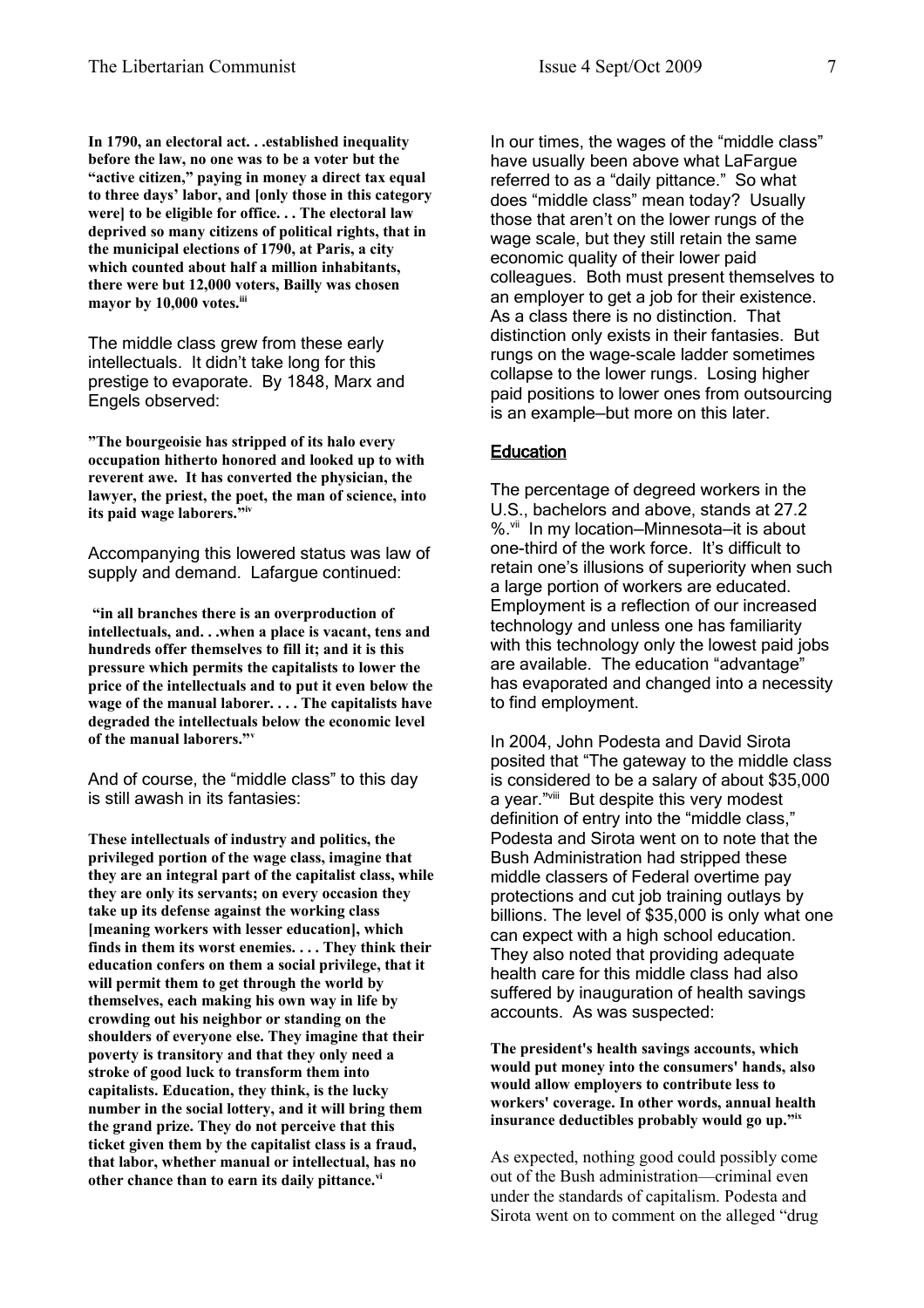**In 1790, an electoral act. . .established inequality before the law, no one was to be a voter but the "active citizen," paying in money a direct tax equal to three days' labor, and [only those in this category were] to be eligible for office. . . The electoral law deprived so many citizens of political rights, that in the municipal elections of 1790, at Paris, a city which counted about half a million inhabitants, there were but 12,000 voters, Bailly was chosen mayor by 10,000 votes.[iii](#page-10-2)**

The middle class grew from these early intellectuals. It didn't take long for this prestige to evaporate. By 1848, Marx and Engels observed:

**"The bourgeoisie has stripped of its halo every occupation hitherto honored and looked up to with reverent awe. It has converted the physician, the lawyer, the priest, the poet, the man of science, into its paid wage laborers." [iv](#page-10-3)**

Accompanying this lowered status was law of supply and demand. Lafargue continued:

**"in all branches there is an overproduction of intellectuals, and. . .when a place is vacant, tens and hundreds offer themselves to fill it; and it is this pressure which permits the capitalists to lower the price of the intellectuals and to put it even below the wage of the manual laborer. . . . The capitalists have degraded the intellectuals below the economic level of the manual laborers."[v](#page-10-4)**

And of course, the "middle class" to this day is still awash in its fantasies:

**These intellectuals of industry and politics, the privileged portion of the wage class, imagine that they are an integral part of the capitalist class, while they are only its servants; on every occasion they take up its defense against the working class [meaning workers with lesser education], which finds in them its worst enemies. . . . They think their education confers on them a social privilege, that it will permit them to get through the world by themselves, each making his own way in life by crowding out his neighbor or standing on the shoulders of everyone else. They imagine that their poverty is transitory and that they only need a stroke of good luck to transform them into capitalists. Education, they think, is the lucky number in the social lottery, and it will bring them the grand prize. They do not perceive that this ticket given them by the capitalist class is a fraud, that labor, whether manual or intellectual, has no other chance than to earn its daily pittance.[vi](#page-10-5)**

In our times, the wages of the "middle class" have usually been above what LaFargue referred to as a "daily pittance." So what does "middle class" mean today? Usually those that aren't on the lower rungs of the wage scale, but they still retain the same economic quality of their lower paid colleagues. Both must present themselves to an employer to get a job for their existence. As a class there is no distinction. That distinction only exists in their fantasies. But rungs on the wage-scale ladder sometimes collapse to the lower rungs. Losing higher paid positions to lower ones from outsourcing is an example—but more on this later.

#### **Education**

The percentage of degreed workers in the U.S., bachelors and above, stands at 27.2 %.<sup>[vii](#page-10-6)</sup> In my location-Minnesota-it is about one-third of the work force. It's difficult to retain one's illusions of superiority when such a large portion of workers are educated. Employment is a reflection of our increased technology and unless one has familiarity with this technology only the lowest paid jobs are available. The education "advantage" has evaporated and changed into a necessity to find employment.

In 2004, John Podesta and David Sirota posited that "The gateway to the middle class is considered to be a salary of about \$35,000 a year."[viii](#page-10-7) But despite this very modest definition of entry into the "middle class," Podesta and Sirota went on to note that the Bush Administration had stripped these middle classers of Federal overtime pay protections and cut job training outlays by billions. The level of \$35,000 is only what one can expect with a high school education. They also noted that providing adequate health care for this middle class had also suffered by inauguration of health savings accounts. As was suspected:

**The president's health savings accounts, which would put money into the consumers' hands, also would allow employers to contribute less to workers' coverage. In other words, annual health insurance deductibles probably would go up."[ix](#page-10-8)**

As expected, nothing good could possibly come out of the Bush administration—criminal even under the standards of capitalism. Podesta and Sirota went on to comment on the alleged "drug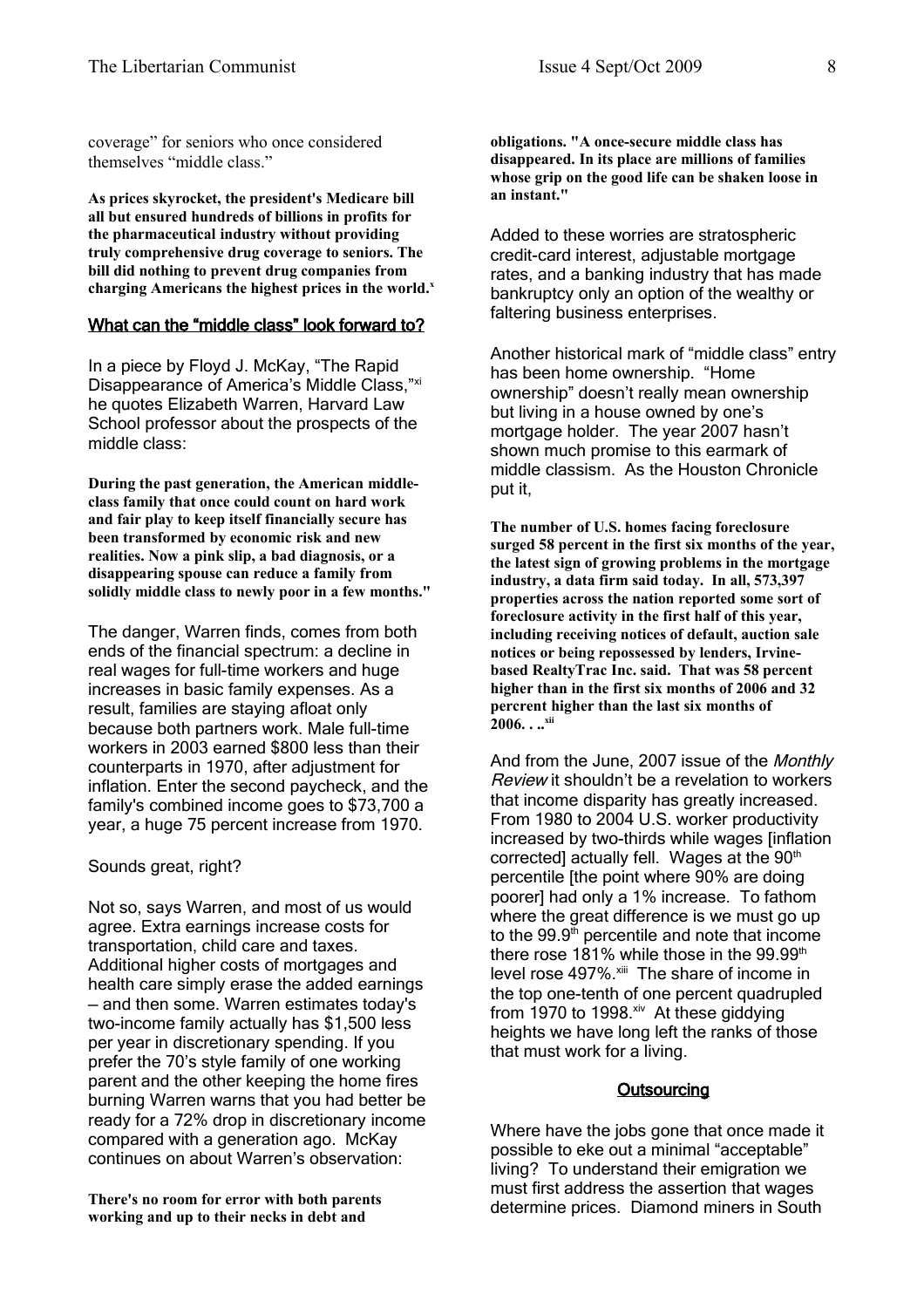coverage" for seniors who once considered themselves "middle class."

**As prices skyrocket, the president's Medicare bill all but ensured hundreds of billions in profits for the pharmaceutical industry without providing truly comprehensive drug coverage to seniors. The bill did nothing to prevent drug companies from charging Americans the highest prices in the world.[x](#page-10-9)**

#### What can the "middle class" look forward to?

In a piece by Floyd J. McKay, "The Rapid Disappearance of America's Middle Class,"[xi](#page-10-10) he quotes Elizabeth Warren, Harvard Law School professor about the prospects of the middle class:

**During the past generation, the American middleclass family that once could count on hard work and fair play to keep itself financially secure has been transformed by economic risk and new realities. Now a pink slip, a bad diagnosis, or a disappearing spouse can reduce a family from solidly middle class to newly poor in a few months."**

The danger, Warren finds, comes from both ends of the financial spectrum: a decline in real wages for full-time workers and huge increases in basic family expenses. As a result, families are staying afloat only because both partners work. Male full-time workers in 2003 earned \$800 less than their counterparts in 1970, after adjustment for inflation. Enter the second paycheck, and the family's combined income goes to \$73,700 a year, a huge 75 percent increase from 1970.

Sounds great, right?

Not so, says Warren, and most of us would agree. Extra earnings increase costs for transportation, child care and taxes. Additional higher costs of mortgages and health care simply erase the added earnings — and then some. Warren estimates today's two-income family actually has \$1,500 less per year in discretionary spending. If you prefer the 70's style family of one working parent and the other keeping the home fires burning Warren warns that you had better be ready for a 72% drop in discretionary income compared with a generation ago. McKay continues on about Warren's observation:

**There's no room for error with both parents working and up to their necks in debt and**

**obligations. "A once-secure middle class has disappeared. In its place are millions of families whose grip on the good life can be shaken loose in an instant."**

Added to these worries are stratospheric credit-card interest, adjustable mortgage rates, and a banking industry that has made bankruptcy only an option of the wealthy or faltering business enterprises.

Another historical mark of "middle class" entry has been home ownership. "Home ownership" doesn't really mean ownership but living in a house owned by one's mortgage holder. The year 2007 hasn't shown much promise to this earmark of middle classism. As the Houston Chronicle put it,

**The number of U.S. homes facing foreclosure surged 58 percent in the first six months of the year, the latest sign of growing problems in the mortgage industry, a data firm said today. In all, 573,397 properties across the nation reported some sort of foreclosure activity in the first half of this year, including receiving notices of default, auction sale notices or being repossessed by lenders, Irvinebased RealtyTrac Inc. said. That was 58 percent higher than in the first six months of 2006 and 32 percrent higher than the last six months of 2006. . ..[xii](#page-10-11)**

And from the June, 2007 issue of the Monthly Review it shouldn't be a revelation to workers that income disparity has greatly increased. From 1980 to 2004 U.S. worker productivity increased by two-thirds while wages [inflation corrected] actually fell. Wages at the 90<sup>th</sup> percentile [the point where 90% are doing poorer] had only a 1% increase. To fathom where the great difference is we must go up to the  $99.9<sup>th</sup>$  percentile and note that income there rose 181% while those in the  $99.99<sup>th</sup>$ level rose 497%.<sup>[xiii](#page-10-12)</sup> The share of income in the top one-tenth of one percent quadrupled from 1970 to 1998. [xiv](#page-10-13) At these giddying heights we have long left the ranks of those that must work for a living.

#### **Outsourcing**

Where have the jobs gone that once made it possible to eke out a minimal "acceptable" living? To understand their emigration we must first address the assertion that wages determine prices. Diamond miners in South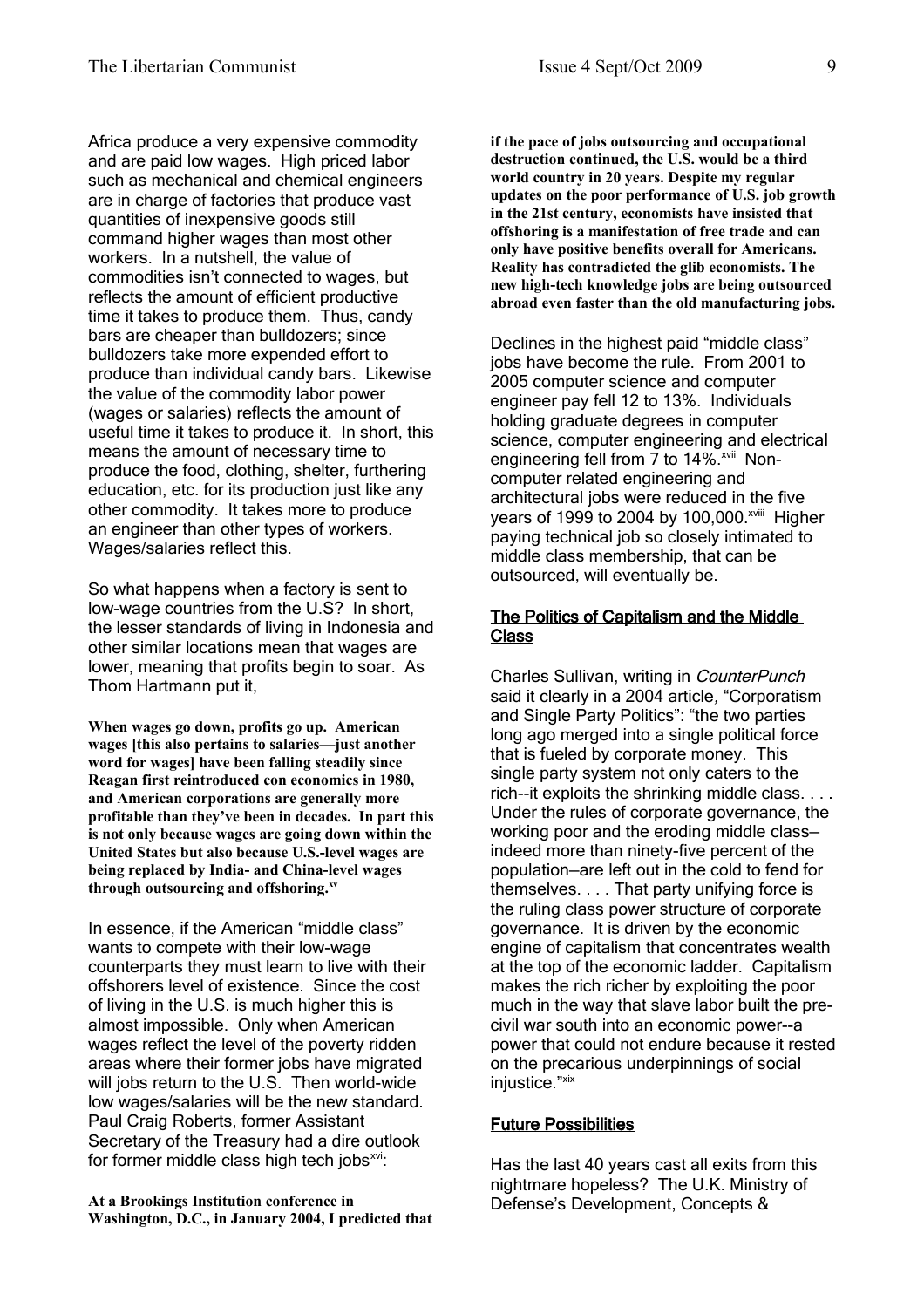Africa produce a very expensive commodity and are paid low wages. High priced labor such as mechanical and chemical engineers are in charge of factories that produce vast quantities of inexpensive goods still command higher wages than most other workers. In a nutshell, the value of commodities isn't connected to wages, but reflects the amount of efficient productive time it takes to produce them. Thus, candy bars are cheaper than bulldozers; since bulldozers take more expended effort to produce than individual candy bars. Likewise the value of the commodity labor power (wages or salaries) reflects the amount of useful time it takes to produce it. In short, this means the amount of necessary time to produce the food, clothing, shelter, furthering education, etc. for its production just like any other commodity. It takes more to produce an engineer than other types of workers. Wages/salaries reflect this.

So what happens when a factory is sent to low-wage countries from the U.S? In short, the lesser standards of living in Indonesia and other similar locations mean that wages are lower, meaning that profits begin to soar. As Thom Hartmann put it,

**When wages go down, profits go up. American wages [this also pertains to salaries—just another word for wages] have been falling steadily since Reagan first reintroduced con economics in 1980, and American corporations are generally more profitable than they've been in decades. In part this is not only because wages are going down within the United States but also because U.S.-level wages are being replaced by India- and China-level wages through outsourcing and offshoring.[xv](#page-10-14)**

In essence, if the American "middle class" wants to compete with their low-wage counterparts they must learn to live with their offshorers level of existence. Since the cost of living in the U.S. is much higher this is almost impossible. Only when American wages reflect the level of the poverty ridden areas where their former jobs have migrated will jobs return to the U.S. Then world-wide low wages/salaries will be the new standard. Paul Craig Roberts, former Assistant Secretary of the Treasury had a dire outlook for former middle class high tech jobs<sup>[xvi](#page-10-15)</sup>:

**At a Brookings Institution conference in Washington, D.C., in January 2004, I predicted that** **if the pace of jobs outsourcing and occupational destruction continued, the U.S. would be a third world country in 20 years. Despite my regular updates on the poor performance of U.S. job growth in the 21st century, economists have insisted that offshoring is a manifestation of free trade and can only have positive benefits overall for Americans. Reality has contradicted the glib economists. The new high-tech knowledge jobs are being outsourced abroad even faster than the old manufacturing jobs.**

Declines in the highest paid "middle class" jobs have become the rule. From 2001 to 2005 computer science and computer engineer pay fell 12 to 13%. Individuals holding graduate degrees in computer science, computer engineering and electrical engineering fell from 7 to 14%.<sup>[xvii](#page-10-16)</sup> Noncomputer related engineering and architectural jobs were reduced in the five years of 1999 to 2004 by 100,000.<sup>[xviii](#page-10-17)</sup> Higher paying technical job so closely intimated to middle class membership, that can be outsourced, will eventually be.

#### The Politics of Capitalism and the Middle Class

Charles Sullivan, writing in CounterPunch said it clearly in a 2004 article, "Corporatism and Single Party Politics": "the two parties long ago merged into a single political force that is fueled by corporate money. This single party system not only caters to the rich--it exploits the shrinking middle class. . . . Under the rules of corporate governance, the working poor and the eroding middle class indeed more than ninety-five percent of the population—are left out in the cold to fend for themselves. . . . That party unifying force is the ruling class power structure of corporate governance. It is driven by the economic engine of capitalism that concentrates wealth at the top of the economic ladder. Capitalism makes the rich richer by exploiting the poor much in the way that slave labor built the precivil war south into an economic power--a power that could not endure because it rested on the precarious underpinnings of social injustice."<sup>[xix](#page-10-18)</sup>

### Future Possibilities

Has the last 40 years cast all exits from this nightmare hopeless? The U.K. Ministry of Defense's Development, Concepts &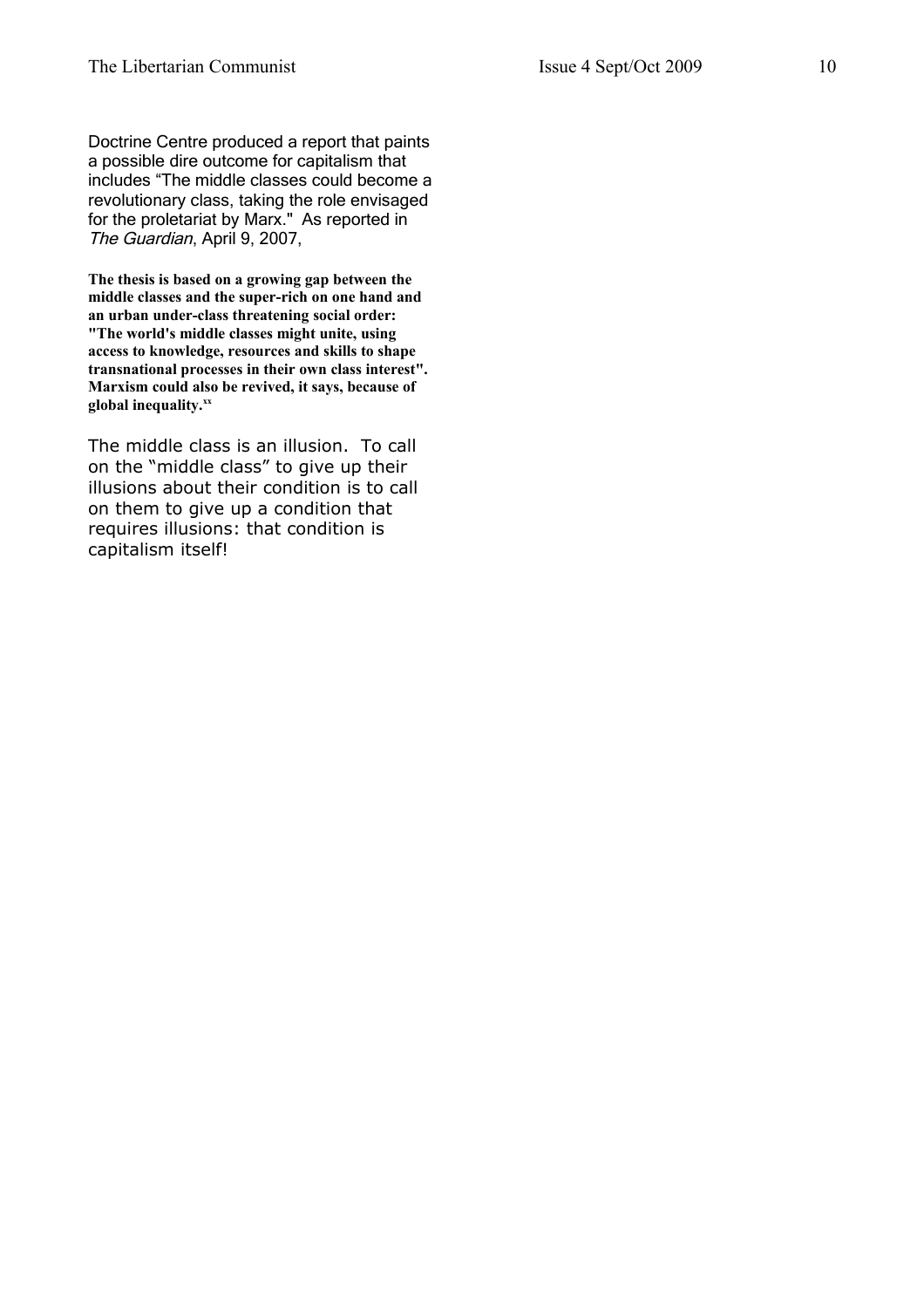Doctrine Centre produced a report that paints a possible dire outcome for capitalism that includes "The middle classes could become a revolutionary class, taking the role envisaged for the proletariat by Marx." As reported in The Guardian, April 9, 2007,

**The thesis is based on a growing gap between the middle classes and the super-rich on one hand and an urban under-class threatening social order: "The world's middle classes might unite, using access to knowledge, resources and skills to shape transnational processes in their own class interest". Marxism could also be revived, it says, because of global inequality.[xx](#page-10-19)**

The middle class is an illusion. To call on the "middle class" to give up their illusions about their condition is to call on them to give up a condition that requires illusions: that condition is capitalism itself!